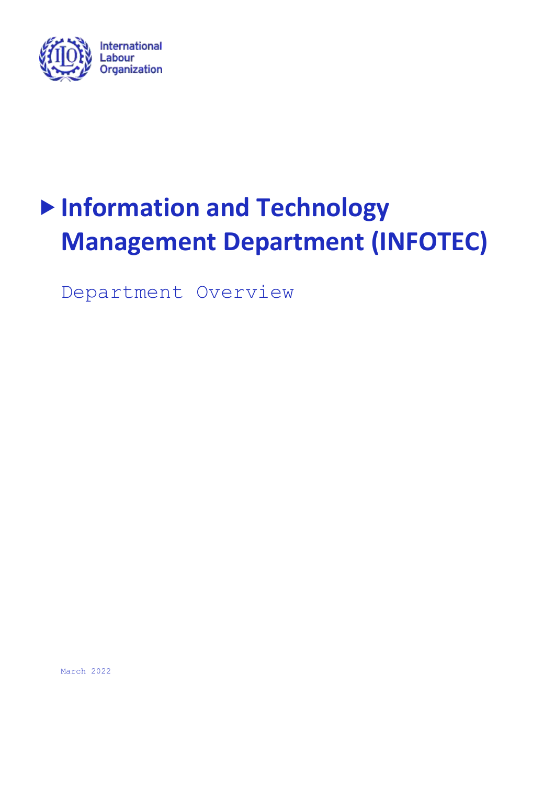

# **Information and Technology Management Department (INFOTEC)**

Department Overview

March 2022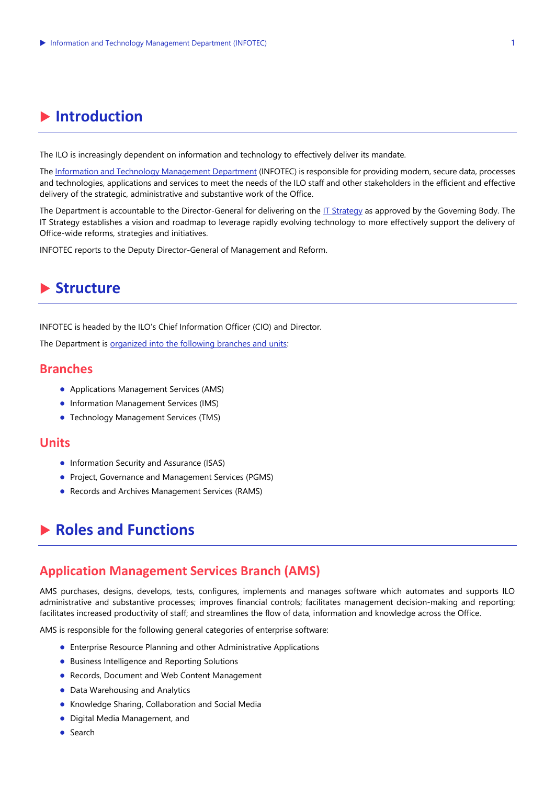## **Introduction**

The ILO is increasingly dependent on information and technology to effectively deliver its mandate.

Th[e Information and Technology Management Department](https://www.ilo.org/global/about-the-ilo/how-the-ilo-works/departments-and-offices/infotec/lang--en/index.htm) (INFOTEC) is responsible for providing modern, secure data, processes and technologies, applications and services to meet the needs of the ILO staff and other stakeholders in the efficient and effective delivery of the strategic, administrative and substantive work of the Office.

The Department is accountable to the Director-General for delivering on th[e IT Strategy](https://www.ilo.org/gb/GBSessions/GB343/pfa/WCMS_821294/lang--en/index.htm) as approved by the Governing Body. The IT Strategy establishes a vision and roadmap to leverage rapidly evolving technology to more effectively support the delivery of Office-wide reforms, strategies and initiatives.

INFOTEC reports to the Deputy Director-General of Management and Reform.

### **Structure**

INFOTEC is headed by the ILO's Chief Information Officer (CIO) and Director.

The Department is [organized into the following branches and units:](https://www.ilo.org/wcmsp5/groups/public/---dgreports/---dcomm/---webdev/documents/organizationalchart/wcms_681805.pdf) 

#### **Branches**

- Applications Management Services (AMS)
- Information Management Services (IMS)
- Technology Management Services (TMS)

#### **Units**

- Information Security and Assurance (ISAS)
- Project, Governance and Management Services (PGMS)
- Records and Archives Management Services (RAMS)

## **Roles and Functions**

#### **Application Management Services Branch (AMS)**

AMS purchases, designs, develops, tests, configures, implements and manages software which automates and supports ILO administrative and substantive processes; improves financial controls; facilitates management decision-making and reporting; facilitates increased productivity of staff; and streamlines the flow of data, information and knowledge across the Office.

AMS is responsible for the following general categories of enterprise software:

- Enterprise Resource Planning and other Administrative Applications
- Business Intelligence and Reporting Solutions
- Records, Document and Web Content Management
- Data Warehousing and Analytics
- Knowledge Sharing, Collaboration and Social Media
- Digital Media Management, and
- Search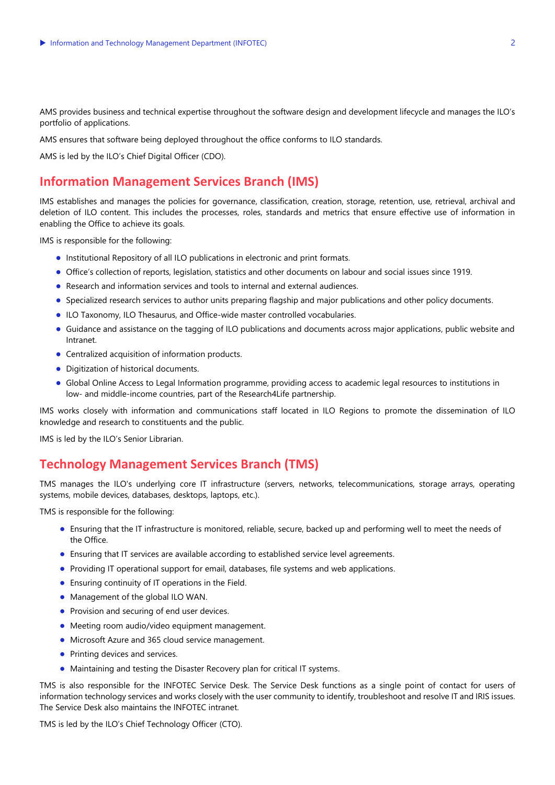AMS provides business and technical expertise throughout the software design and development lifecycle and manages the ILO's portfolio of applications.

AMS ensures that software being deployed throughout the office conforms to ILO standards.

AMS is led by the ILO's Chief Digital Officer (CDO).

#### **Information Management Services Branch (IMS)**

IMS establishes and manages the policies for governance, classification, creation, storage, retention, use, retrieval, archival and deletion of ILO content. This includes the processes, roles, standards and metrics that ensure effective use of information in enabling the Office to achieve its goals.

IMS is responsible for the following:

- Institutional Repository of all ILO publications in electronic and print formats.
- Office's collection of reports, legislation, statistics and other documents on labour and social issues since 1919.
- Research and information services and tools to internal and external audiences.
- Specialized research services to author units preparing flagship and major publications and other policy documents.
- ILO Taxonomy, ILO Thesaurus, and Office-wide master controlled vocabularies.
- Guidance and assistance on the tagging of ILO publications and documents across major applications, public website and Intranet.
- Centralized acquisition of information products.
- Digitization of historical documents.
- Global Online Access to Legal Information programme, providing access to academic legal resources to institutions in low- and middle-income countries, part of the Research4Life partnership.

IMS works closely with information and communications staff located in ILO Regions to promote the dissemination of ILO knowledge and research to constituents and the public.

IMS is led by the ILO's Senior Librarian.

#### **Technology Management Services Branch (TMS)**

TMS manages the ILO's underlying core IT infrastructure (servers, networks, telecommunications, storage arrays, operating systems, mobile devices, databases, desktops, laptops, etc.).

TMS is responsible for the following:

- Ensuring that the IT infrastructure is monitored, reliable, secure, backed up and performing well to meet the needs of the Office.
- Ensuring that IT services are available according to established service level agreements.
- Providing IT operational support for email, databases, file systems and web applications.
- Ensuring continuity of IT operations in the Field.
- Management of the global ILO WAN.
- Provision and securing of end user devices.
- Meeting room audio/video equipment management.
- Microsoft Azure and 365 cloud service management.
- Printing devices and services.
- Maintaining and testing the Disaster Recovery plan for critical IT systems.

TMS is also responsible for the INFOTEC Service Desk. The Service Desk functions as a single point of contact for users of information technology services and works closely with the user community to identify, troubleshoot and resolve IT and IRIS issues. The Service Desk also maintains the INFOTEC intranet.

TMS is led by the ILO's Chief Technology Officer (CTO).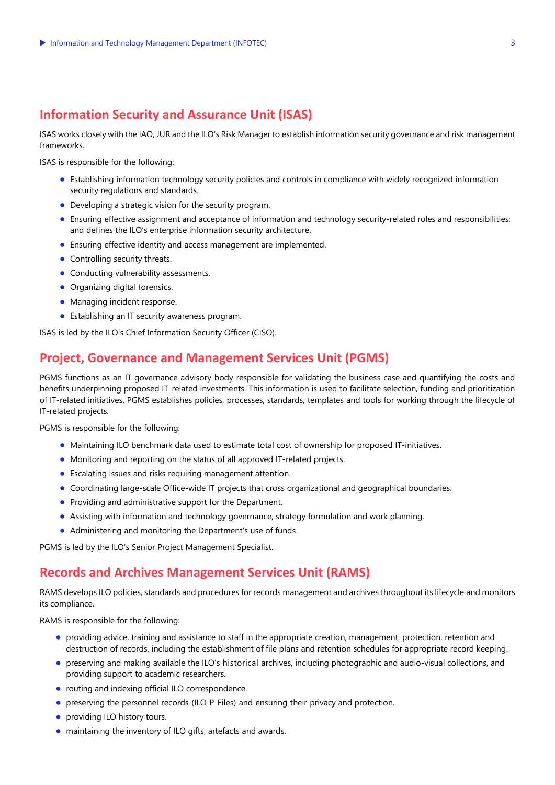#### **Information Security and Assurance Unit (ISAS)**

ISAS works closely with the IAO, JUR and the ILO's Risk Manager to establish information security governance and risk management frameworks.

ISAS is responsible for the following:

- Establishing information technology security policies and controls in compliance with widely recognized information security regulations and standards.
- Developing a strategic vision for the security program.
- Ensuring effective assignment and acceptance of information and technology security-related roles and responsibilities; and defines the ILO's enterprise information security architecture.
- Ensuring effective identity and access management are implemented.
- Controlling security threats.
- Conducting vulnerability assessments.
- Organizing digital forensics.
- Managing incident response.
- Establishing an IT security awareness program.

ISAS is led by the ILO's Chief Information Security Officer (CISO).

#### **Project, Governance and Management Services Unit (PGMS)**

PGMS functions as an IT governance advisory body responsible for validating the business case and quantifying the costs and benefits underpinning proposed IT-related investments. This information is used to facilitate selection, funding and prioritization of IT-related initiatives. PGMS establishes policies, processes, standards, templates and tools for working through the lifecycle of IT-related projects.

PGMS is responsible for the following:

- Maintaining ILO benchmark data used to estimate total cost of ownership for proposed IT-initiatives.
- Monitoring and reporting on the status of all approved IT-related projects.
- Escalating issues and risks requiring management attention.
- Coordinating large-scale Office-wide IT projects that cross organizational and geographical boundaries.
- Providing and administrative support for the Department.
- Assisting with information and technology governance, strategy formulation and work planning.
- Administering and monitoring the Department's use of funds.

PGMS is led by the ILO's Senior Project Management Specialist.

#### **Records and Archives Management Services Unit (RAMS)**

RAMS develops ILO policies, standards and procedures for records management and archives throughout its lifecycle and monitors its compliance.

RAMS is responsible for the following:

- providing advice, training and assistance to staff in the appropriate creation, management, protection, retention and destruction of records, including the establishment of file plans and retention schedules for appropriate record keeping.
- preserving and making available the ILO's historical archives, including photographic and audio-visual collections, and providing support to academic researchers.
- routing and indexing official ILO correspondence.
- preserving the personnel records (ILO P-Files) and ensuring their privacy and protection.
- providing ILO history tours.
- maintaining the inventory of ILO gifts, artefacts and awards.